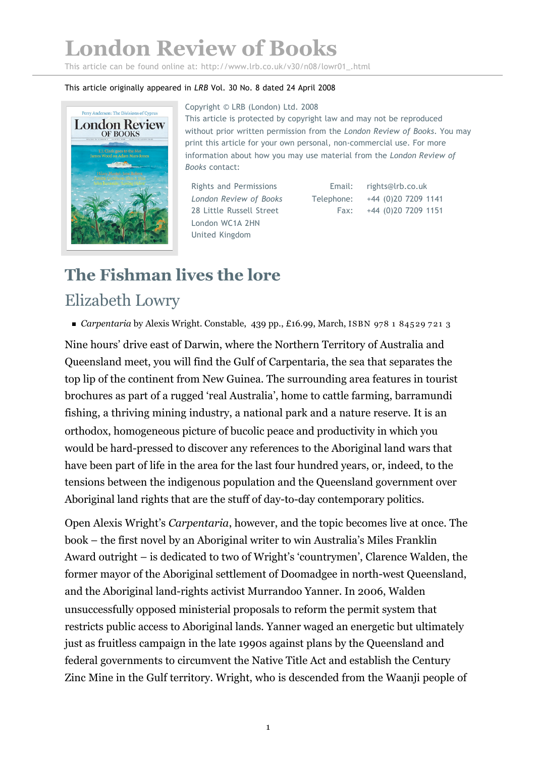## **London Review of Books**

This article can be found online at: http://www.lrb.co.uk/v30/n08/lowr01\_.html

## This article originally appeared in *LRB* Vol. 30 No. 8 dated 24 April 2008



Copyright © LRB (London) Ltd. 2008 This article is protected by copyright law and may not be reproduced without prior written permission from the *London Review of Books*. You may print this article for your own personal, non-commercial use. For more information about how you may use material from the *London Review of Books* contact:

Rights and Permissions *London Review of Books* 28 Little Russell Street London WC1A 2HN United Kingdom

Email: Telephone: Fax: rights@lrb.co.uk +44 (0)20 7209 1141 +44 (0)20 7209 1151

## **The Fishman lives the lore** Elizabeth Lowry

*Carpentaria* by Alexis Wright. Constable, 439 pp., £16.99, March, ISBN 978 1 84529 7 21 3

Nine hours' drive east of Darwin, where the Northern Territory of Australia and Queensland meet, you will find the Gulf of Carpentaria, the sea that separates the top lip of the continent from New Guinea. The surrounding area features in tourist brochures as part of a rugged 'real Australia', home to cattle farming, barramundi fishing, a thriving mining industry, a national park and a nature reserve. It is an orthodox, homogeneous picture of bucolic peace and productivity in which you would be hard-pressed to discover any references to the Aboriginal land wars that have been part of life in the area for the last four hundred years, or, indeed, to the tensions between the indigenous population and the Queensland government over Aboriginal land rights that are the stuff of day-to-day contemporary politics.

Open Alexis Wright's *Carpentaria*, however, and the topic becomes live at once. The book – the first novel by an Aboriginal writer to win Australia's Miles Franklin Award outright – is dedicated to two of Wright's 'countrymen', Clarence Walden, the former mayor of the Aboriginal settlement of Doomadgee in north-west Queensland, and the Aboriginal land-rights activist Murrandoo Yanner. In 2006, Walden unsuccessfully opposed ministerial proposals to reform the permit system that restricts public access to Aboriginal lands. Yanner waged an energetic but ultimately just as fruitless campaign in the late 1990s against plans by the Queensland and federal governments to circumvent the Native Title Act and establish the Century Zinc Mine in the Gulf territory. Wright, who is descended from the Waanji people of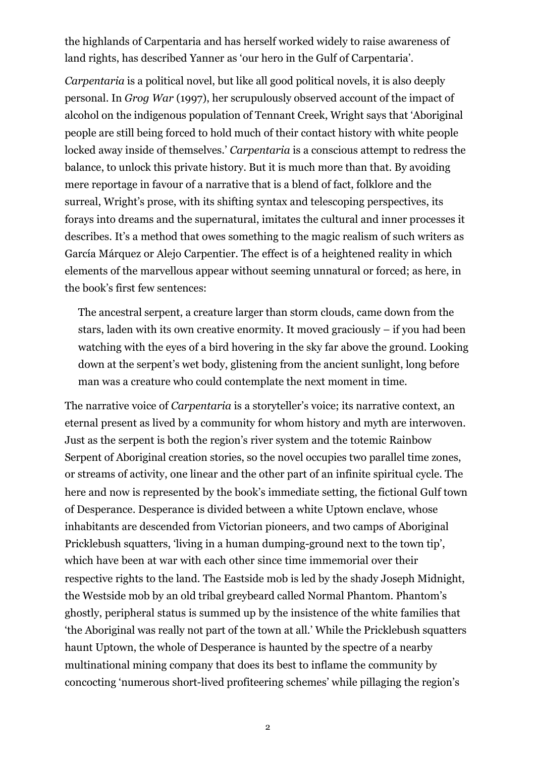the highlands of Carpentaria and has herself worked widely to raise awareness of land rights, has described Yanner as 'our hero in the Gulf of Carpentaria'.

*Carpentaria* is a political novel, but like all good political novels, it is also deeply personal. In *Grog War* (1997), her scrupulously observed account of the impact of alcohol on the indigenous population of Tennant Creek, Wright says that 'Aboriginal people are still being forced to hold much of their contact history with white people locked away inside of themselves.' *Carpentaria* is a conscious attempt to redress the balance, to unlock this private history. But it is much more than that. By avoiding mere reportage in favour of a narrative that is a blend of fact, folklore and the surreal, Wright's prose, with its shifting syntax and telescoping perspectives, its forays into dreams and the supernatural, imitates the cultural and inner processes it describes. It's a method that owes something to the magic realism of such writers as García Márquez or Alejo Carpentier. The effect is of a heightened reality in which elements of the marvellous appear without seeming unnatural or forced; as here, in the book's first few sentences:

The ancestral serpent, a creature larger than storm clouds, came down from the stars, laden with its own creative enormity. It moved graciously – if you had been watching with the eyes of a bird hovering in the sky far above the ground. Looking down at the serpent's wet body, glistening from the ancient sunlight, long before man was a creature who could contemplate the next moment in time.

The narrative voice of *Carpentaria* is a storyteller's voice; its narrative context, an eternal present as lived by a community for whom history and myth are interwoven. Just as the serpent is both the region's river system and the totemic Rainbow Serpent of Aboriginal creation stories, so the novel occupies two parallel time zones, or streams of activity, one linear and the other part of an infinite spiritual cycle. The here and now is represented by the book's immediate setting, the fictional Gulf town of Desperance. Desperance is divided between a white Uptown enclave, whose inhabitants are descended from Victorian pioneers, and two camps of Aboriginal Pricklebush squatters, 'living in a human dumping-ground next to the town tip', which have been at war with each other since time immemorial over their respective rights to the land. The Eastside mob is led by the shady Joseph Midnight, the Westside mob by an old tribal greybeard called Normal Phantom. Phantom's ghostly, peripheral status is summed up by the insistence of the white families that 'the Aboriginal was really not part of the town at all.' While the Pricklebush squatters haunt Uptown, the whole of Desperance is haunted by the spectre of a nearby multinational mining company that does its best to inflame the community by concocting 'numerous short-lived profiteering schemes' while pillaging the region's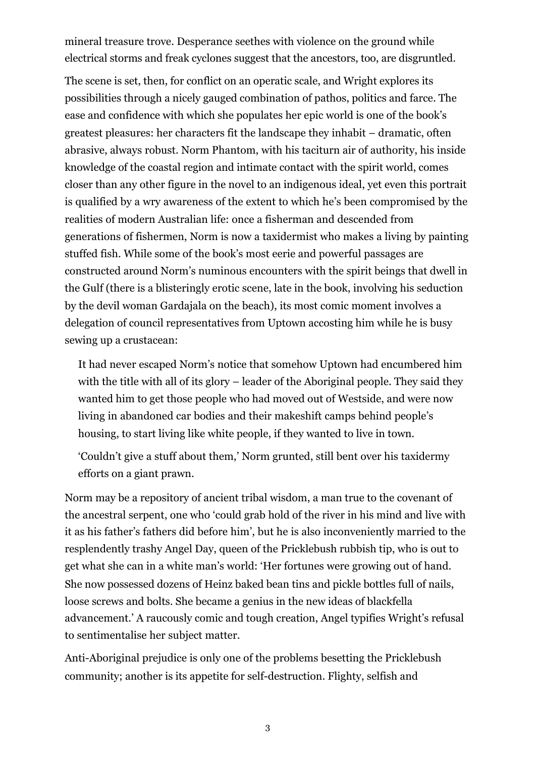mineral treasure trove. Desperance seethes with violence on the ground while electrical storms and freak cyclones suggest that the ancestors, too, are disgruntled.

The scene is set, then, for conflict on an operatic scale, and Wright explores its possibilities through a nicely gauged combination of pathos, politics and farce. The ease and confidence with which she populates her epic world is one of the book's greatest pleasures: her characters fit the landscape they inhabit – dramatic, often abrasive, always robust. Norm Phantom, with his taciturn air of authority, his inside knowledge of the coastal region and intimate contact with the spirit world, comes closer than any other figure in the novel to an indigenous ideal, yet even this portrait is qualified by a wry awareness of the extent to which he's been compromised by the realities of modern Australian life: once a fisherman and descended from generations of fishermen, Norm is now a taxidermist who makes a living by painting stuffed fish. While some of the book's most eerie and powerful passages are constructed around Norm's numinous encounters with the spirit beings that dwell in the Gulf (there is a blisteringly erotic scene, late in the book, involving his seduction by the devil woman Gardajala on the beach), its most comic moment involves a delegation of council representatives from Uptown accosting him while he is busy sewing up a crustacean:

It had never escaped Norm's notice that somehow Uptown had encumbered him with the title with all of its glory – leader of the Aboriginal people. They said they wanted him to get those people who had moved out of Westside, and were now living in abandoned car bodies and their makeshift camps behind people's housing, to start living like white people, if they wanted to live in town.

'Couldn't give a stuff about them,' Norm grunted, still bent over his taxidermy efforts on a giant prawn.

Norm may be a repository of ancient tribal wisdom, a man true to the covenant of the ancestral serpent, one who 'could grab hold of the river in his mind and live with it as his father's fathers did before him', but he is also inconveniently married to the resplendently trashy Angel Day, queen of the Pricklebush rubbish tip, who is out to get what she can in a white man's world: 'Her fortunes were growing out of hand. She now possessed dozens of Heinz baked bean tins and pickle bottles full of nails, loose screws and bolts. She became a genius in the new ideas of blackfella advancement.' A raucously comic and tough creation, Angel typifies Wright's refusal to sentimentalise her subject matter.

Anti-Aboriginal prejudice is only one of the problems besetting the Pricklebush community; another is its appetite for self-destruction. Flighty, selfish and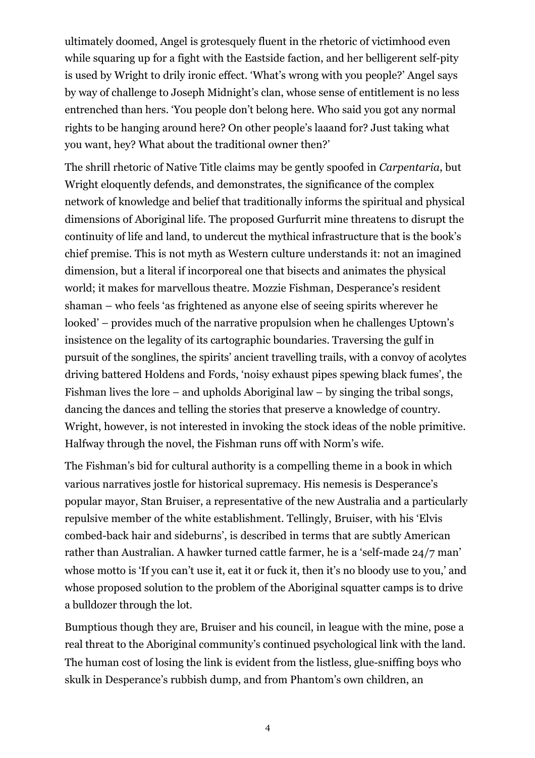ultimately doomed, Angel is grotesquely fluent in the rhetoric of victimhood even while squaring up for a fight with the Eastside faction, and her belligerent self-pity is used by Wright to drily ironic effect. 'What's wrong with you people?' Angel says by way of challenge to Joseph Midnight's clan, whose sense of entitlement is no less entrenched than hers. 'You people don't belong here. Who said you got any normal rights to be hanging around here? On other people's laaand for? Just taking what you want, hey? What about the traditional owner then?'

The shrill rhetoric of Native Title claims may be gently spoofed in *Carpentaria*, but Wright eloquently defends, and demonstrates, the significance of the complex network of knowledge and belief that traditionally informs the spiritual and physical dimensions of Aboriginal life. The proposed Gurfurrit mine threatens to disrupt the continuity of life and land, to undercut the mythical infrastructure that is the book's chief premise. This is not myth as Western culture understands it: not an imagined dimension, but a literal if incorporeal one that bisects and animates the physical world; it makes for marvellous theatre. Mozzie Fishman, Desperance's resident shaman – who feels 'as frightened as anyone else of seeing spirits wherever he looked' – provides much of the narrative propulsion when he challenges Uptown's insistence on the legality of its cartographic boundaries. Traversing the gulf in pursuit of the songlines, the spirits' ancient travelling trails, with a convoy of acolytes driving battered Holdens and Fords, 'noisy exhaust pipes spewing black fumes', the Fishman lives the lore – and upholds Aboriginal law – by singing the tribal songs, dancing the dances and telling the stories that preserve a knowledge of country. Wright, however, is not interested in invoking the stock ideas of the noble primitive. Halfway through the novel, the Fishman runs off with Norm's wife.

The Fishman's bid for cultural authority is a compelling theme in a book in which various narratives jostle for historical supremacy. His nemesis is Desperance's popular mayor, Stan Bruiser, a representative of the new Australia and a particularly repulsive member of the white establishment. Tellingly, Bruiser, with his 'Elvis combed-back hair and sideburns', is described in terms that are subtly American rather than Australian. A hawker turned cattle farmer, he is a 'self-made 24/7 man' whose motto is 'If you can't use it, eat it or fuck it, then it's no bloody use to you,' and whose proposed solution to the problem of the Aboriginal squatter camps is to drive a bulldozer through the lot.

Bumptious though they are, Bruiser and his council, in league with the mine, pose a real threat to the Aboriginal community's continued psychological link with the land. The human cost of losing the link is evident from the listless, glue-sniffing boys who skulk in Desperance's rubbish dump, and from Phantom's own children, an

4